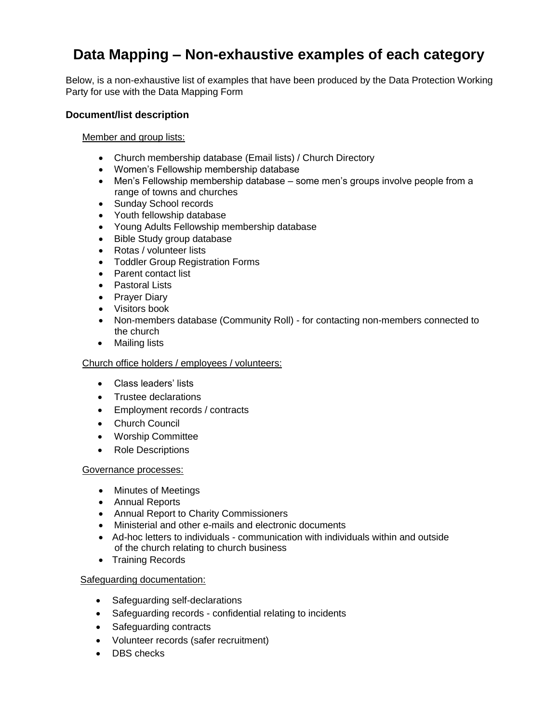# **Data Mapping – Non-exhaustive examples of each category**

Below, is a non-exhaustive list of examples that have been produced by the Data Protection Working Party for use with the Data Mapping Form

## **Document/list description**

Member and group lists:

- Church membership database (Email lists) / Church Directory
- Women's Fellowship membership database
- Men's Fellowship membership database some men's groups involve people from a range of towns and churches
- Sunday School records
- Youth fellowship database
- Young Adults Fellowship membership database
- Bible Study group database
- Rotas / volunteer lists
- Toddler Group Registration Forms
- Parent contact list
- Pastoral Lists
- Prayer Diary
- Visitors book
- Non-members database (Community Roll) for contacting non-members connected to the church
- Mailing lists

#### Church office holders / employees / volunteers:

- Class leaders' lists
- Trustee declarations
- Employment records / contracts
- Church Council
- Worship Committee
- Role Descriptions

## Governance processes:

- Minutes of Meetings
- Annual Reports
- Annual Report to Charity Commissioners
- Ministerial and other e-mails and electronic documents
- Ad-hoc letters to individuals communication with individuals within and outside of the church relating to church business
- Training Records

## Safeguarding documentation:

- Safeguarding self-declarations
- Safeguarding records confidential relating to incidents
- Safeguarding contracts
- Volunteer records (safer recruitment)
- DBS checks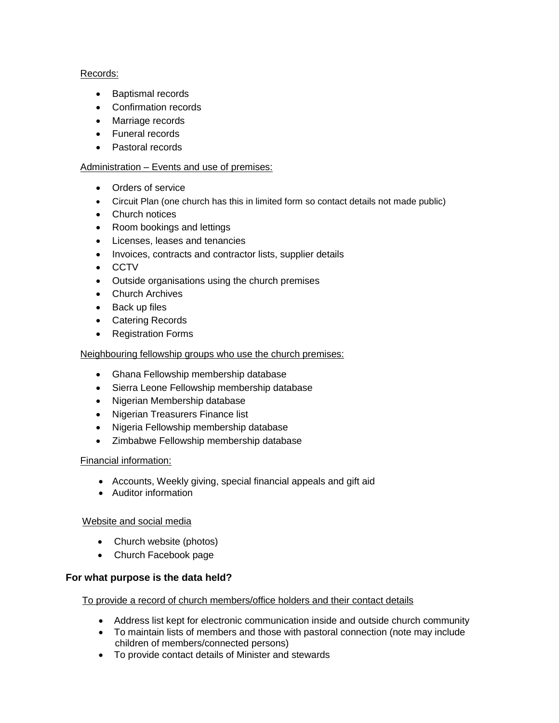## Records:

- Baptismal records
- Confirmation records
- Marriage records
- Funeral records
- Pastoral records

## Administration – Events and use of premises:

- Orders of service
- Circuit Plan (one church has this in limited form so contact details not made public)
- Church notices
- Room bookings and lettings
- Licenses, leases and tenancies
- Invoices, contracts and contractor lists, supplier details
- CCTV
- Outside organisations using the church premises
- Church Archives
- Back up files
- Catering Records
- Registration Forms

## Neighbouring fellowship groups who use the church premises:

- Ghana Fellowship membership database
- Sierra Leone Fellowship membership database
- Nigerian Membership database
- Nigerian Treasurers Finance list
- Nigeria Fellowship membership database
- Zimbabwe Fellowship membership database

## Financial information:

- Accounts, Weekly giving, special financial appeals and gift aid
- Auditor information

## Website and social media

- Church website (photos)
- Church Facebook page

## **For what purpose is the data held?**

To provide a record of church members/office holders and their contact details

- Address list kept for electronic communication inside and outside church community
- To maintain lists of members and those with pastoral connection (note may include children of members/connected persons)
- To provide contact details of Minister and stewards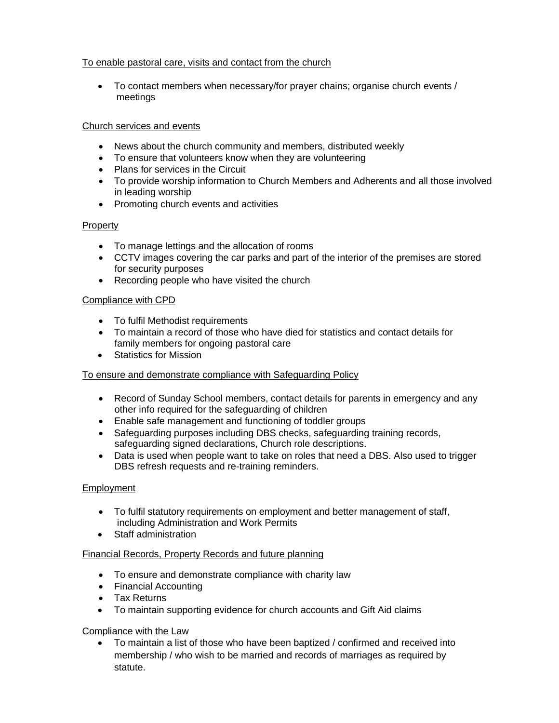## To enable pastoral care, visits and contact from the church

• To contact members when necessary/for prayer chains; organise church events / meetings

## Church services and events

- News about the church community and members, distributed weekly
- To ensure that volunteers know when they are volunteering
- Plans for services in the Circuit
- To provide worship information to Church Members and Adherents and all those involved in leading worship
- Promoting church events and activities

## **Property**

- To manage lettings and the allocation of rooms
- CCTV images covering the car parks and part of the interior of the premises are stored for security purposes
- Recording people who have visited the church

## Compliance with CPD

- To fulfil Methodist requirements
- To maintain a record of those who have died for statistics and contact details for family members for ongoing pastoral care
- Statistics for Mission

## To ensure and demonstrate compliance with Safeguarding Policy

- Record of Sunday School members, contact details for parents in emergency and any other info required for the safeguarding of children
- Enable safe management and functioning of toddler groups
- Safeguarding purposes including DBS checks, safeguarding training records, safeguarding signed declarations, Church role descriptions.
- Data is used when people want to take on roles that need a DBS. Also used to trigger DBS refresh requests and re-training reminders.

## Employment

- To fulfil statutory requirements on employment and better management of staff, including Administration and Work Permits
- Staff administration

## Financial Records, Property Records and future planning

- To ensure and demonstrate compliance with charity law
- Financial Accounting
- Tax Returns
- To maintain supporting evidence for church accounts and Gift Aid claims

## Compliance with the Law

• To maintain a list of those who have been baptized / confirmed and received into membership / who wish to be married and records of marriages as required by statute.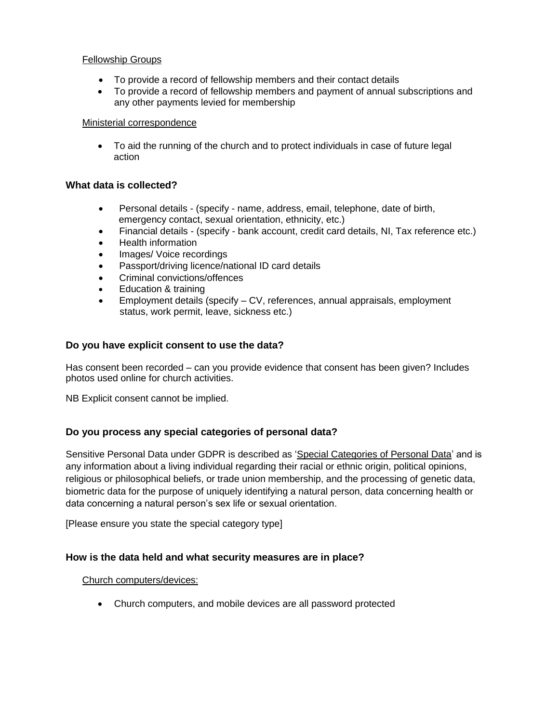## Fellowship Groups

- To provide a record of fellowship members and their contact details
- To provide a record of fellowship members and payment of annual subscriptions and any other payments levied for membership

#### Ministerial correspondence

• To aid the running of the church and to protect individuals in case of future legal action

## **What data is collected?**

- Personal details (specify name, address, email, telephone, date of birth, emergency contact, sexual orientation, ethnicity, etc.)
- Financial details (specify bank account, credit card details, NI, Tax reference etc.)
- Health information
- Images/ Voice recordings
- Passport/driving licence/national ID card details
- Criminal convictions/offences
- Education & training
- Employment details (specify CV, references, annual appraisals, employment status, work permit, leave, sickness etc.)

## **Do you have explicit consent to use the data?**

Has consent been recorded – can you provide evidence that consent has been given? Includes photos used online for church activities.

NB Explicit consent cannot be implied.

## **Do you process any special categories of personal data?**

Sensitive Personal Data under GDPR is described as 'Special Categories of Personal Data' and is any information about a living individual regarding their racial or ethnic origin, political opinions, religious or philosophical beliefs, or trade union membership, and the processing of genetic data, biometric data for the purpose of uniquely identifying a natural person, data concerning health or data concerning a natural person's sex life or sexual orientation.

[Please ensure you state the special category type]

## **How is the data held and what security measures are in place?**

## Church computers/devices:

• Church computers, and mobile devices are all password protected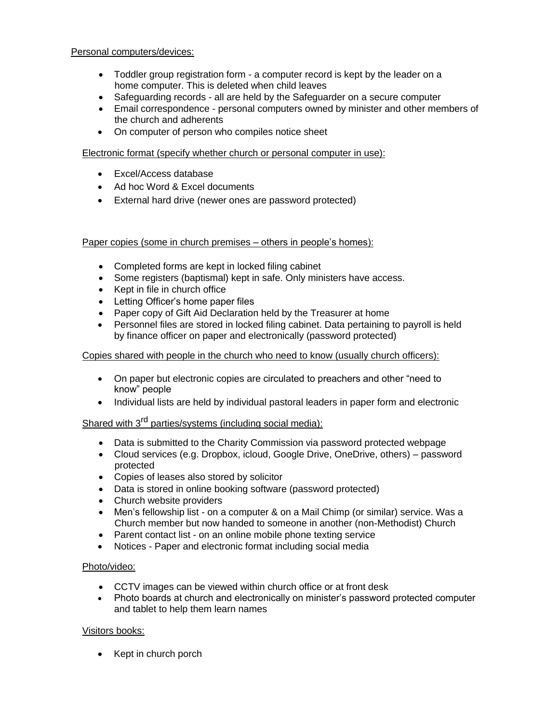## Personal computers/devices:

- Toddler group registration form a computer record is kept by the leader on a home computer. This is deleted when child leaves
- Safeguarding records all are held by the Safeguarder on a secure computer
- Email correspondence personal computers owned by minister and other members of the church and adherents
- On computer of person who compiles notice sheet

#### Electronic format (specify whether church or personal computer in use):

- Excel/Access database
- Ad hoc Word & Excel documents
- External hard drive (newer ones are password protected)

#### Paper copies (some in church premises – others in people's homes):

- Completed forms are kept in locked filing cabinet
- Some registers (baptismal) kept in safe. Only ministers have access.
- Kept in file in church office
- Letting Officer's home paper files
- Paper copy of Gift Aid Declaration held by the Treasurer at home
- Personnel files are stored in locked filing cabinet. Data pertaining to payroll is held by finance officer on paper and electronically (password protected)

#### Copies shared with people in the church who need to know (usually church officers):

- On paper but electronic copies are circulated to preachers and other "need to know" people
- Individual lists are held by individual pastoral leaders in paper form and electronic

## Shared with 3<sup>rd</sup> parties/systems (including social media):

- Data is submitted to the Charity Commission via password protected webpage
- Cloud services (e.g. Dropbox, icloud, Google Drive, OneDrive, others) password protected
- Copies of leases also stored by solicitor
- Data is stored in online booking software (password protected)
- Church website providers
- Men's fellowship list on a computer & on a Mail Chimp (or similar) service. Was a Church member but now handed to someone in another (non-Methodist) Church
- Parent contact list on an online mobile phone texting service
- Notices Paper and electronic format including social media

## Photo/video:

- CCTV images can be viewed within church office or at front desk
- Photo boards at church and electronically on minister's password protected computer and tablet to help them learn names

## Visitors books:

• Kept in church porch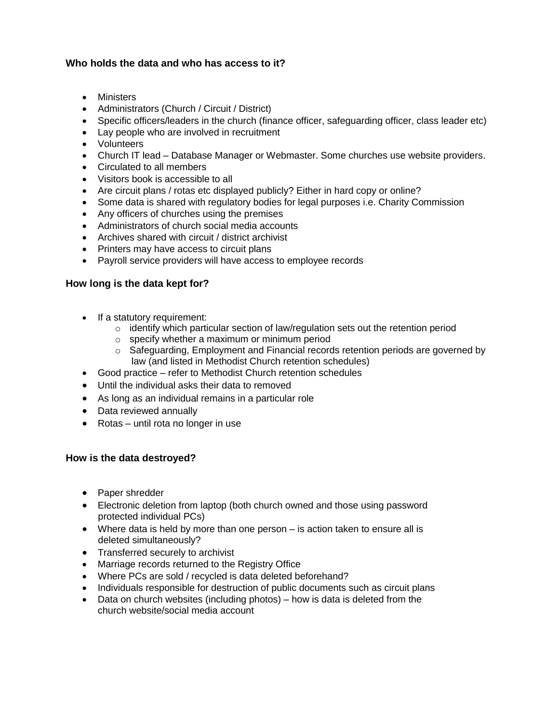## **Who holds the data and who has access to it?**

- Ministers
- Administrators (Church / Circuit / District)
- Specific officers/leaders in the church (finance officer, safeguarding officer, class leader etc)
- Lay people who are involved in recruitment
- Volunteers
- Church IT lead Database Manager or Webmaster. Some churches use website providers.
- Circulated to all members
- Visitors book is accessible to all
- Are circuit plans / rotas etc displayed publicly? Either in hard copy or online?
- Some data is shared with regulatory bodies for legal purposes i.e. Charity Commission
- Any officers of churches using the premises
- Administrators of church social media accounts
- Archives shared with circuit / district archivist
- Printers may have access to circuit plans
- Payroll service providers will have access to employee records

## **How long is the data kept for?**

- If a statutory requirement:
	- $\circ$  identify which particular section of law/regulation sets out the retention period
	- o specify whether a maximum or minimum period
	- $\circ$  Safeguarding, Employment and Financial records retention periods are governed by law (and listed in Methodist Church retention schedules)
- Good practice refer to Methodist Church retention schedules
- Until the individual asks their data to removed
- As long as an individual remains in a particular role
- Data reviewed annually
- Rotas until rota no longer in use

## **How is the data destroyed?**

- Paper shredder
- Electronic deletion from laptop (both church owned and those using password protected individual PCs)
- Where data is held by more than one person is action taken to ensure all is deleted simultaneously?
- Transferred securely to archivist
- Marriage records returned to the Registry Office
- Where PCs are sold / recycled is data deleted beforehand?
- Individuals responsible for destruction of public documents such as circuit plans
- Data on church websites (including photos) how is data is deleted from the church website/social media account